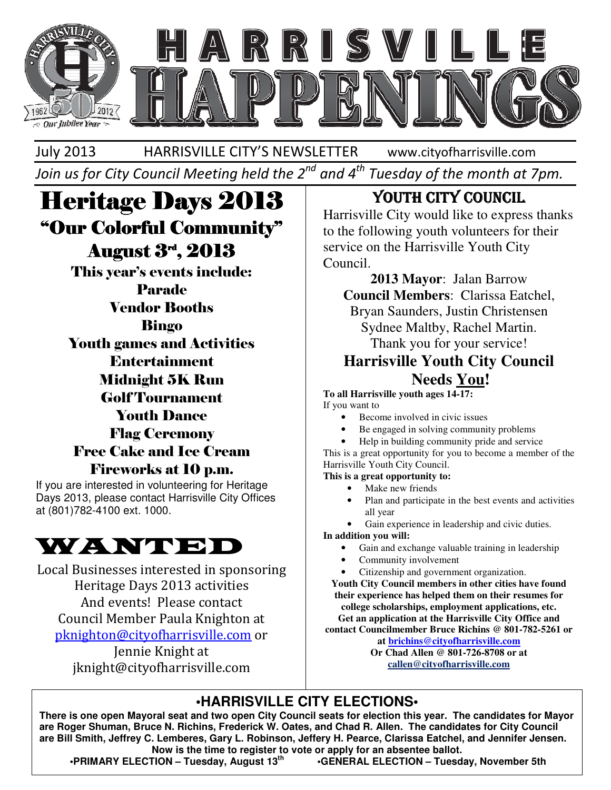

July 2013 HARRISVILLE CITY'S NEWSLETTER www.cityofharrisville.com

Join us for City Council Meeting held the  $2^{nd}$  and  $4^{th}$  Tuesday of the month at 7pm.

# **Heritage Days 2013** "Our Colorful Community" August 3rd, 2013

This year's events include: Parade Vendor Booths Bingo Youth games and Activities Entertainment Midnight 5K Run Golf Tournament Youth Dance Flag Ceremony Free Cake and Ice Cream Fireworks at 10 p.m.

If you are interested in volunteering for Heritage Days 2013, please contact Harrisville City Offices at (801)782-4100 ext. 1000.



Local Businesses interested in sponsoring Heritage Days 2013 activities And events! Please contact Council Member Paula Knighton at pknighton@cityofharrisville.com or Jennie Knight at

jknight@cityofharrisville.com

# YOUTH CITY COUNCIL

Harrisville City would like to express thanks to the following youth volunteers for their service on the Harrisville Youth City Council.

**2013 Mayor**: Jalan Barrow **Council Members**: Clarissa Eatchel,

Bryan Saunders, Justin Christensen Sydnee Maltby, Rachel Martin. Thank you for your service!

### **Harrisville Youth City Council Needs You!**

**To all Harrisville youth ages 14-17:** 

If you want to

- Become involved in civic issues
- Be engaged in solving community problems
- Help in building community pride and service

This is a great opportunity for you to become a member of the Harrisville Youth City Council.

**This is a great opportunity to:** 

- Make new friends
- Plan and participate in the best events and activities all year

Gain experience in leadership and civic duties.

**In addition you will:** 

- Gain and exchange valuable training in leadership
- Community involvement
- Citizenship and government organization.

**Youth City Council members in other cities have found their experience has helped them on their resumes for college scholarships, employment applications, etc.**

**Get an application at the Harrisville City Office and contact Councilmember Bruce Richins @ 801-782-5261 or** 

> **at brichins@cityofharrisville.com Or Chad Allen @ 801-726-8708 or at callen@cityofharrisville.com**

### **•HARRISVILLE CITY ELECTIONS•**

**There is one open Mayoral seat and two open City Council seats for election this year. The candidates for Mayor are Roger Shuman, Bruce N. Richins, Frederick W. Oates, and Chad R. Allen. The candidates for City Council are Bill Smith, Jeffrey C. Lemberes, Gary L. Robinson, Jeffery H. Pearce, Clarissa Eatchel, and Jennifer Jensen. Now is the time to register to vote or apply for an absentee ballot.** 

 **•PRIMARY ELECTION – Tuesday, August 13th •GENERAL ELECTION – Tuesday, November 5th**